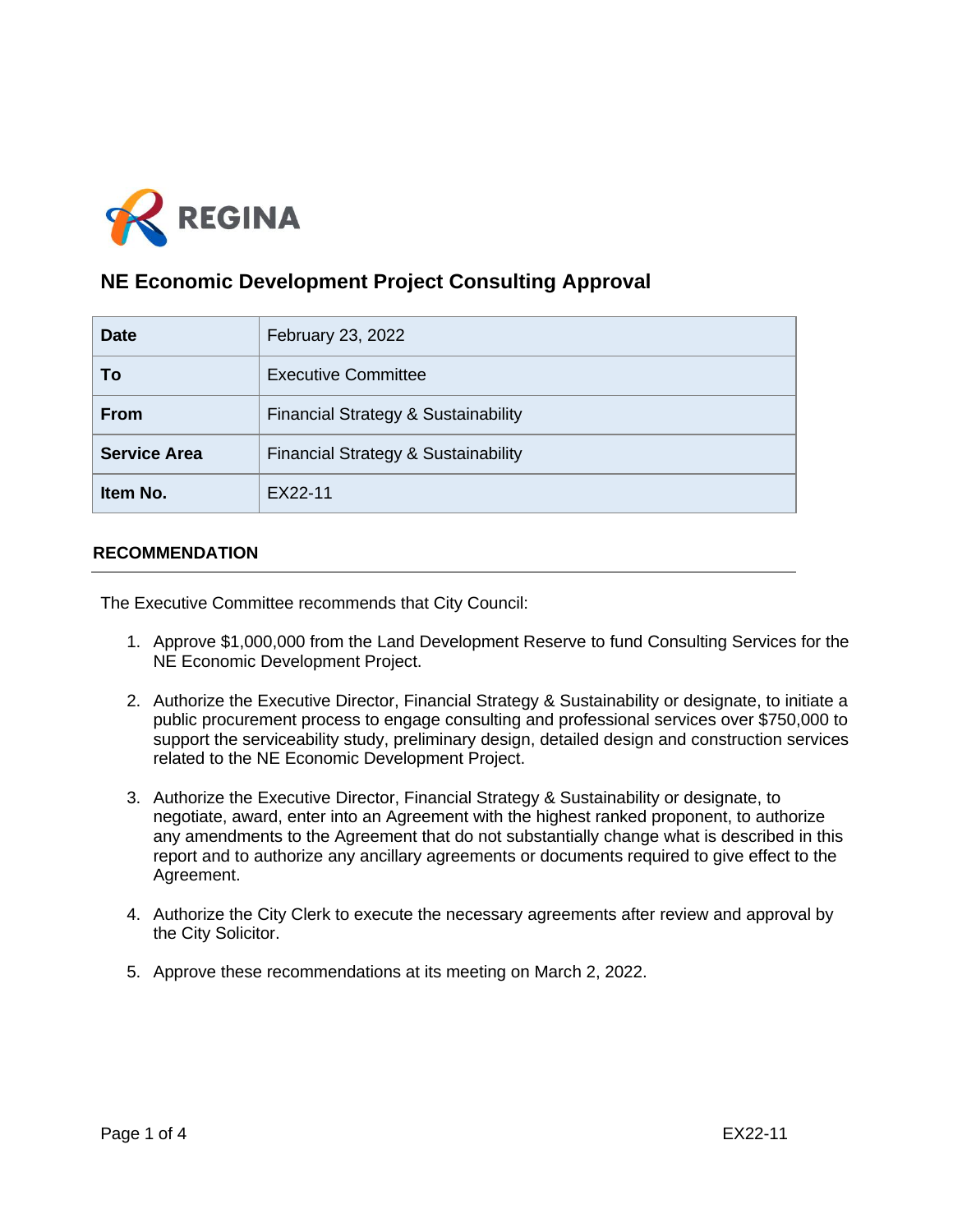

# **NE Economic Development Project Consulting Approval**

| <b>Date</b>         | February 23, 2022                   |
|---------------------|-------------------------------------|
| To                  | <b>Executive Committee</b>          |
| <b>From</b>         | Financial Strategy & Sustainability |
| <b>Service Area</b> | Financial Strategy & Sustainability |
| Item No.            | EX22-11                             |

# **RECOMMENDATION**

The Executive Committee recommends that City Council:

- 1. Approve \$1,000,000 from the Land Development Reserve to fund Consulting Services for the NE Economic Development Project.
- 2. Authorize the Executive Director, Financial Strategy & Sustainability or designate, to initiate a public procurement process to engage consulting and professional services over \$750,000 to support the serviceability study, preliminary design, detailed design and construction services related to the NE Economic Development Project.
- 3. Authorize the Executive Director, Financial Strategy & Sustainability or designate, to negotiate, award, enter into an Agreement with the highest ranked proponent, to authorize any amendments to the Agreement that do not substantially change what is described in this report and to authorize any ancillary agreements or documents required to give effect to the Agreement.
- 4. Authorize the City Clerk to execute the necessary agreements after review and approval by the City Solicitor.
- 5. Approve these recommendations at its meeting on March 2, 2022.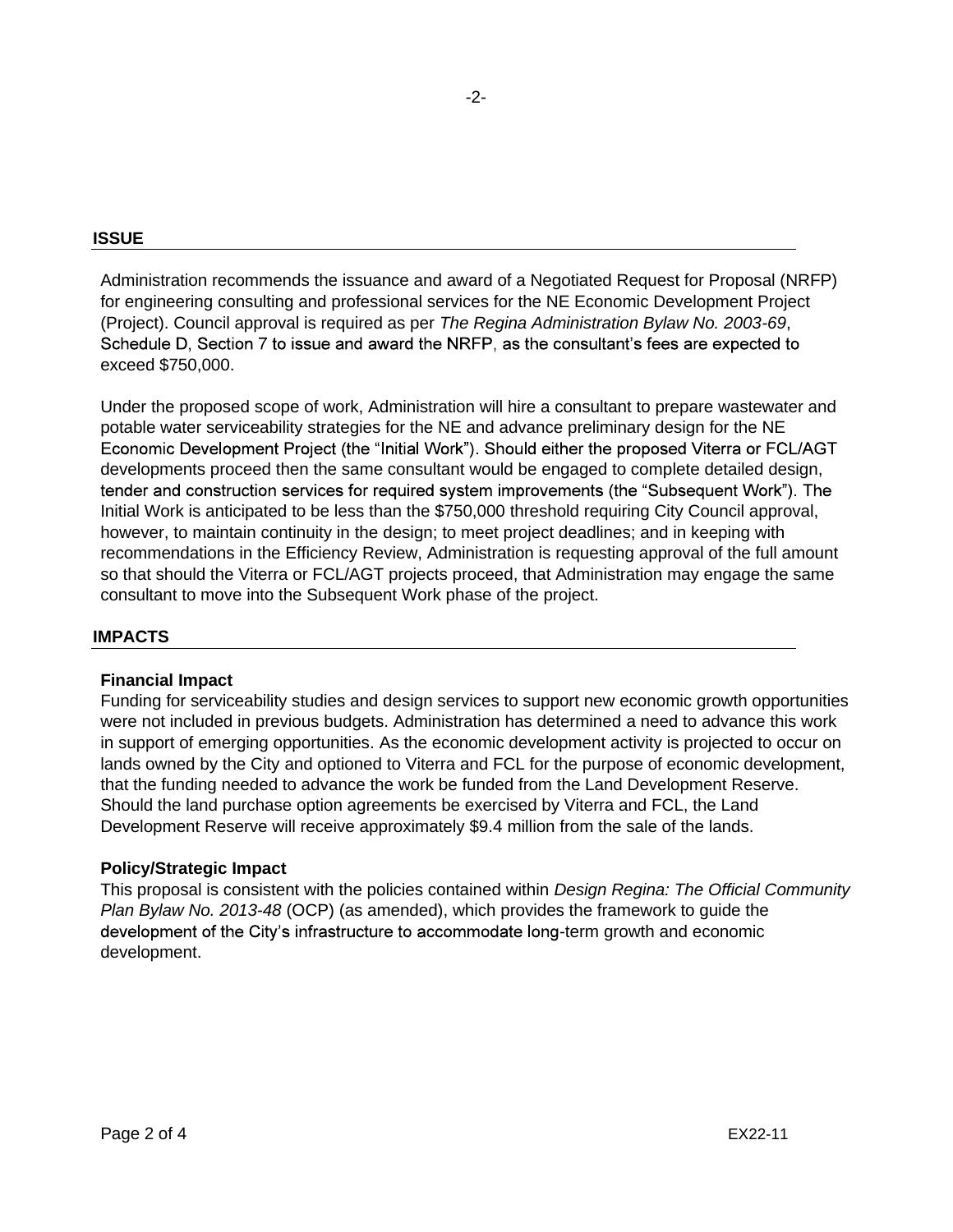Administration recommends the issuance and award of a Negotiated Request for Proposal (NRFP) for engineering consulting and professional services for the NE Economic Development Project (Project). Council approval is required as per *The Regina Administration Bylaw No. 2003-69*, Schedule D, Section 7 to issue and award the NRFP, as the consultant's fees are expected to exceed \$750,000.

Under the proposed scope of work, Administration will hire a consultant to prepare wastewater and potable water serviceability strategies for the NE and advance preliminary design for the NE Economic Development Project (the "Initial Work"). Should either the proposed Viterra or FCL/AGT developments proceed then the same consultant would be engaged to complete detailed design, tender and construction services for required system improvements (the "Subsequent Work"). The Initial Work is anticipated to be less than the \$750,000 threshold requiring City Council approval, however, to maintain continuity in the design; to meet project deadlines; and in keeping with recommendations in the Efficiency Review, Administration is requesting approval of the full amount so that should the Viterra or FCL/AGT projects proceed, that Administration may engage the same consultant to move into the Subsequent Work phase of the project.

# **IMPACTS**

### **Financial Impact**

Funding for serviceability studies and design services to support new economic growth opportunities were not included in previous budgets. Administration has determined a need to advance this work in support of emerging opportunities. As the economic development activity is projected to occur on lands owned by the City and optioned to Viterra and FCL for the purpose of economic development, that the funding needed to advance the work be funded from the Land Development Reserve. Should the land purchase option agreements be exercised by Viterra and FCL, the Land Development Reserve will receive approximately \$9.4 million from the sale of the lands.

### **Policy/Strategic Impact**

This proposal is consistent with the policies contained within *Design Regina: The Official Community Plan Bylaw No. 2013-48* (OCP) (as amended), which provides the framework to guide the development of the City's infrastructure to accommodate long-term growth and economic development.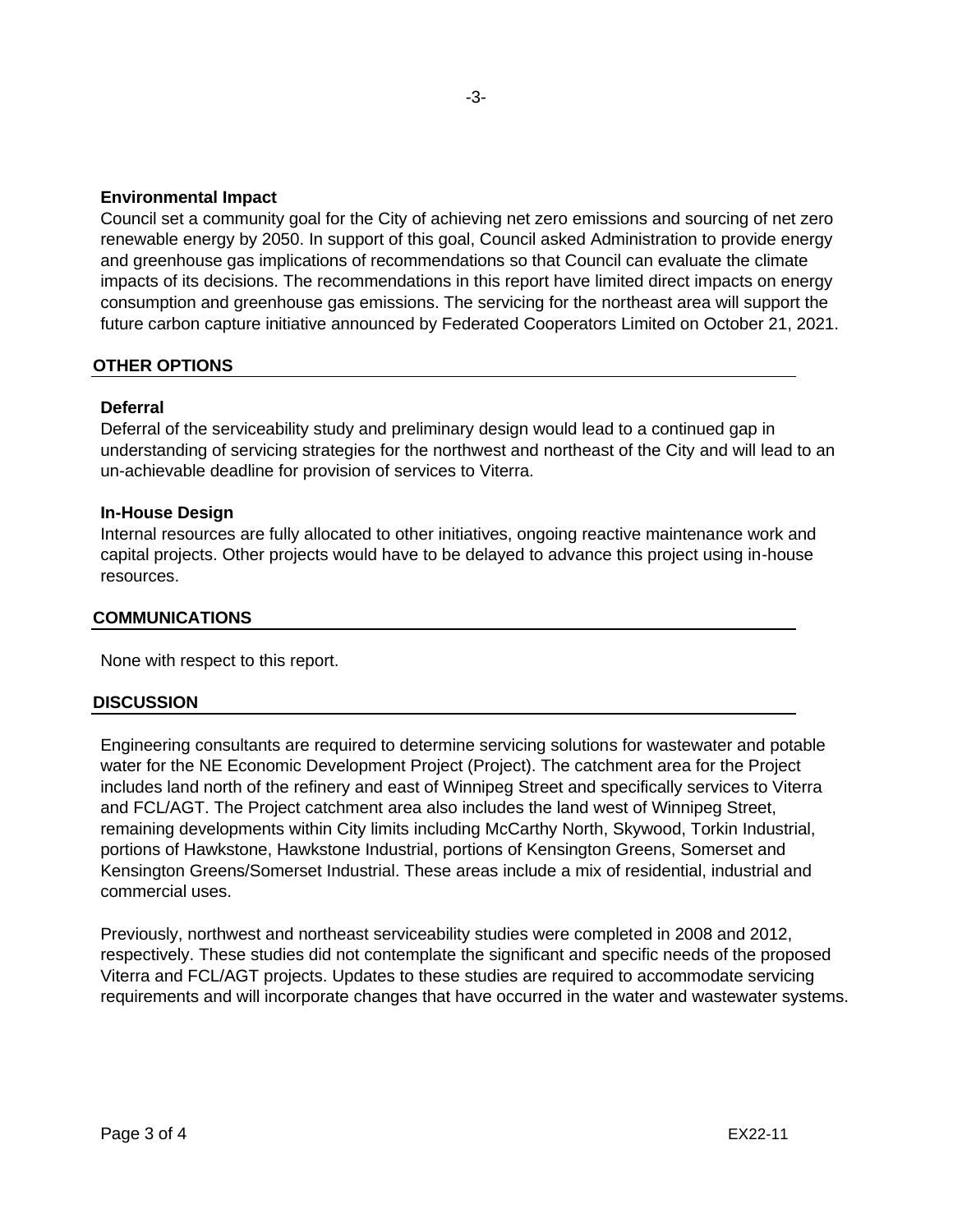## **Environmental Impact**

Council set a community goal for the City of achieving net zero emissions and sourcing of net zero renewable energy by 2050. In support of this goal, Council asked Administration to provide energy and greenhouse gas implications of recommendations so that Council can evaluate the climate impacts of its decisions. The recommendations in this report have limited direct impacts on energy consumption and greenhouse gas emissions. The servicing for the northeast area will support the future carbon capture initiative announced by Federated Cooperators Limited on October 21, 2021.

### **OTHER OPTIONS**

### **Deferral**

Deferral of the serviceability study and preliminary design would lead to a continued gap in understanding of servicing strategies for the northwest and northeast of the City and will lead to an un-achievable deadline for provision of services to Viterra.

#### **In-House Design**

Internal resources are fully allocated to other initiatives, ongoing reactive maintenance work and capital projects. Other projects would have to be delayed to advance this project using in-house resources.

#### **COMMUNICATIONS**

None with respect to this report.

### **DISCUSSION**

Engineering consultants are required to determine servicing solutions for wastewater and potable water for the NE Economic Development Project (Project). The catchment area for the Project includes land north of the refinery and east of Winnipeg Street and specifically services to Viterra and FCL/AGT. The Project catchment area also includes the land west of Winnipeg Street, remaining developments within City limits including McCarthy North, Skywood, Torkin Industrial, portions of Hawkstone, Hawkstone Industrial, portions of Kensington Greens, Somerset and Kensington Greens/Somerset Industrial. These areas include a mix of residential, industrial and commercial uses.

Previously, northwest and northeast serviceability studies were completed in 2008 and 2012, respectively. These studies did not contemplate the significant and specific needs of the proposed Viterra and FCL/AGT projects. Updates to these studies are required to accommodate servicing requirements and will incorporate changes that have occurred in the water and wastewater systems.